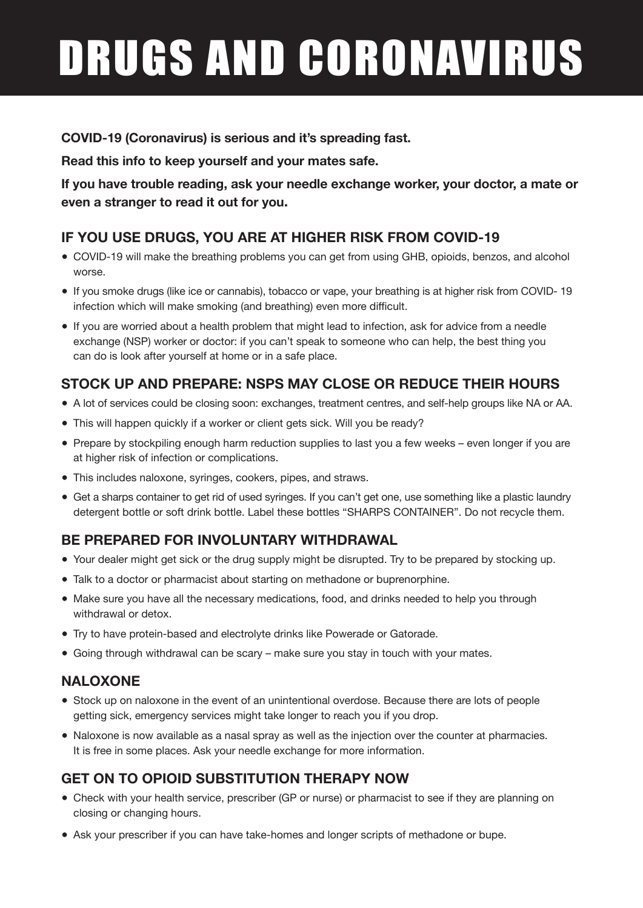# DRUGS AND CORONAVIRUS

**COVID-19 (Coronavirus) is serious and it's spreading fast.**

**Read this info to keep yourself and your mates safe.**

**If you have trouble reading, ask your needle exchange worker, your doctor, a mate or even a stranger to read it out for you.** 

## **IF YOU USE DRUGS, YOU ARE AT HIGHER RISK FROM COVID-19**

- COVID-19 will make the breathing problems you can get from using GHB, opioids, benzos, and alcohol worse.
- If you smoke drugs (like ice or cannabis), tobacco or vape, your breathing is at higher risk from COVID- 19 infection which will make smoking (and breathing) even more difficult.
- If you are worried about a health problem that might lead to infection, ask for advice from a needle exchange (NSP) worker or doctor: if you can't speak to someone who can help, the best thing you can do is look after yourself at home or in a safe place.

# **STOCK UP AND PREPARE: NSPS MAY CLOSE OR REDUCE THEIR HOURS**

- ● A lot of services could be closing soon: exchanges, treatment centres, and self-help groups like NA or AA.
- This will happen quickly if a worker or client gets sick. Will you be ready?
- Prepare by stockpiling enough harm reduction supplies to last you a few weeks even longer if you are at higher risk of infection or complications.
- This includes naloxone, syringes, cookers, pipes, and straws.
- Get a sharps container to get rid of used syringes. If you can't get one, use something like a plastic laundry detergent bottle or soft drink bottle. Label these bottles "SHARPS CONTAINER". Do not recycle them.

## **BE PREPARED FOR INVOLUNTARY WITHDRAWAL**

- ● Your dealer might get sick or the drug supply might be disrupted. Try to be prepared by stocking up.
- Talk to a doctor or pharmacist about starting on methadone or buprenorphine.
- Make sure you have all the necessary medications, food, and drinks needed to help you through withdrawal or detox.
- **•** Try to have protein-based and electrolyte drinks like Powerade or Gatorade.
- Going through withdrawal can be scary make sure you stay in touch with your mates.

#### **NALOXONE**

- Stock up on naloxone in the event of an unintentional overdose. Because there are lots of people getting sick, emergency services might take longer to reach you if you drop.
- Naloxone is now available as a nasal spray as well as the injection over the counter at pharmacies. It is free in some places. Ask your needle exchange for more information.

# **GET ON TO OPIOID SUBSTITUTION THERAPY NOW**

- Check with your health service, prescriber (GP or nurse) or pharmacist to see if they are planning on closing or changing hours.
- Ask your prescriber if you can have take-homes and longer scripts of methadone or bupe.